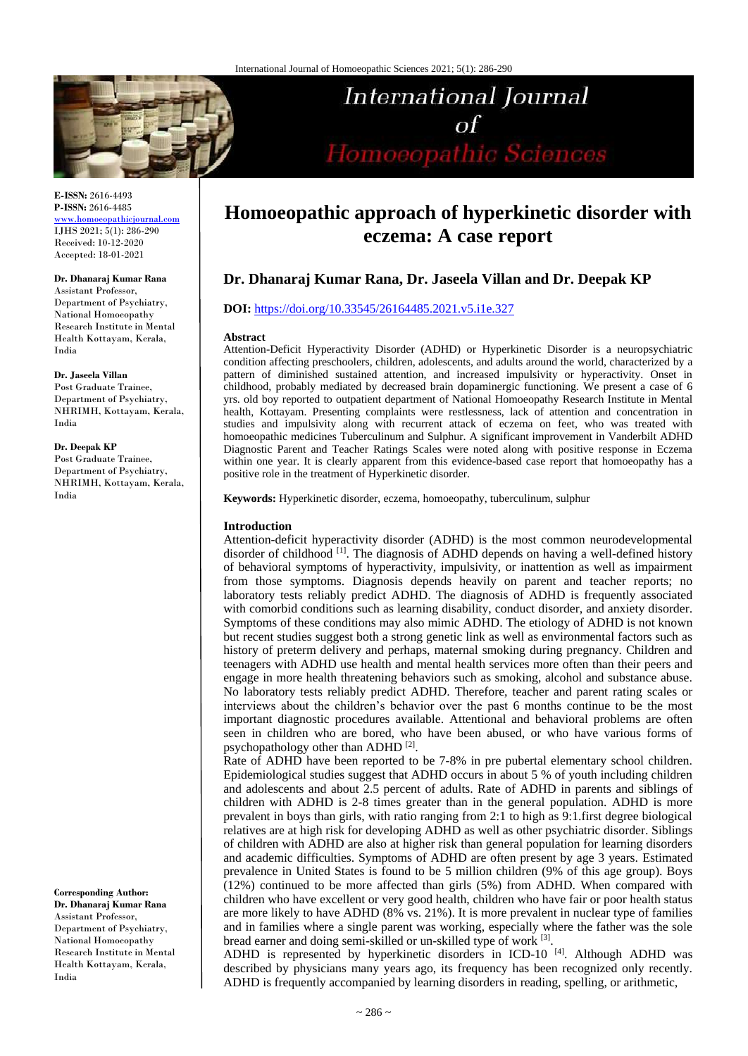

#### **E-ISSN:** 2616-4493 **P-ISSN:** 2616-4485 [www.homoeopathicjournal.com](file://Server/test/homoeopathicjournal/issue/vol%204/issue%201/www.homoeopathicjournal.com)

IJHS 2021; 5(1): 286-290 Received: 10-12-2020 Accepted: 18-01-2021

#### **Dr. Dhanaraj Kumar Rana**

Assistant Professor, Department of Psychiatry, National Homoeopathy Research Institute in Mental Health Kottayam, Kerala, India

#### **Dr. Jaseela Villan**

Post Graduate Trainee, Department of Psychiatry, NHRIMH, Kottayam, Kerala, India

## **Dr. Deepak KP**

Post Graduate Trainee, Department of Psychiatry, NHRIMH, Kottayam, Kerala, India

**Corresponding Author: Dr. Dhanaraj Kumar Rana** Assistant Professor, Department of Psychiatry, National Homoeopathy Research Institute in Mental Health Kottayam, Kerala, India

# **Homoeopathic approach of hyperkinetic disorder with eczema: A case report**

**International Journal** 

Homoeopathic Sciences

 $\sigma$ f

# **Dr. Dhanaraj Kumar Rana, Dr. Jaseela Villan and Dr. Deepak KP**

# **DOI:** <https://doi.org/10.33545/26164485.2021.v5.i1e.327>

#### **Abstract**

Attention-Deficit Hyperactivity Disorder (ADHD) or Hyperkinetic Disorder is a neuropsychiatric condition affecting preschoolers, children, adolescents, and adults around the world, characterized by a pattern of diminished sustained attention, and increased impulsivity or hyperactivity. Onset in childhood, probably mediated by decreased brain dopaminergic functioning. We present a case of 6 yrs. old boy reported to outpatient department of National Homoeopathy Research Institute in Mental health, Kottayam. Presenting complaints were restlessness, lack of attention and concentration in studies and impulsivity along with recurrent attack of eczema on feet, who was treated with homoeopathic medicines Tuberculinum and Sulphur. A significant improvement in Vanderbilt ADHD Diagnostic Parent and Teacher Ratings Scales were noted along with positive response in Eczema within one year. It is clearly apparent from this evidence-based case report that homoeopathy has a positive role in the treatment of Hyperkinetic disorder.

**Keywords:** Hyperkinetic disorder, eczema, homoeopathy, tuberculinum, sulphur

#### **Introduction**

Attention-deficit hyperactivity disorder (ADHD) is the most common neurodevelopmental disorder of childhood<sup>[1]</sup>. The diagnosis of ADHD depends on having a well-defined history of behavioral symptoms of hyperactivity, impulsivity, or inattention as well as impairment from those symptoms. Diagnosis depends heavily on parent and teacher reports; no laboratory tests reliably predict ADHD. The diagnosis of ADHD is frequently associated with comorbid conditions such as learning disability, conduct disorder, and anxiety disorder. Symptoms of these conditions may also mimic ADHD. The etiology of ADHD is not known but recent studies suggest both a strong genetic link as well as environmental factors such as history of preterm delivery and perhaps, maternal smoking during pregnancy. Children and teenagers with ADHD use health and mental health services more often than their peers and engage in more health threatening behaviors such as smoking, alcohol and substance abuse. No laboratory tests reliably predict ADHD. Therefore, teacher and parent rating scales or interviews about the children's behavior over the past 6 months continue to be the most important diagnostic procedures available. Attentional and behavioral problems are often seen in children who are bored, who have been abused, or who have various forms of psychopathology other than ADHD<sup>[2]</sup>.

Rate of ADHD have been reported to be 7-8% in pre pubertal elementary school children. Epidemiological studies suggest that ADHD occurs in about 5 % of youth including children and adolescents and about 2.5 percent of adults. Rate of ADHD in parents and siblings of children with ADHD is 2-8 times greater than in the general population. ADHD is more prevalent in boys than girls, with ratio ranging from 2:1 to high as 9:1.first degree biological relatives are at high risk for developing ADHD as well as other psychiatric disorder. Siblings of children with ADHD are also at higher risk than general population for learning disorders and academic difficulties. Symptoms of ADHD are often present by age 3 years. Estimated prevalence in United States is found to be 5 million children (9% of this age group). Boys (12%) continued to be more affected than girls (5%) from ADHD. When compared with children who have excellent or very good health, children who have fair or poor health status are more likely to have ADHD (8% vs. 21%). It is more prevalent in nuclear type of families and in families where a single parent was working, especially where the father was the sole bread earner and doing semi-skilled or un-skilled type of work [3].

ADHD is represented by hyperkinetic disorders in ICD-10<sup>[4]</sup>. Although ADHD was described by physicians many years ago, its frequency has been recognized only recently. ADHD is frequently accompanied by learning disorders in reading, spelling, or arithmetic,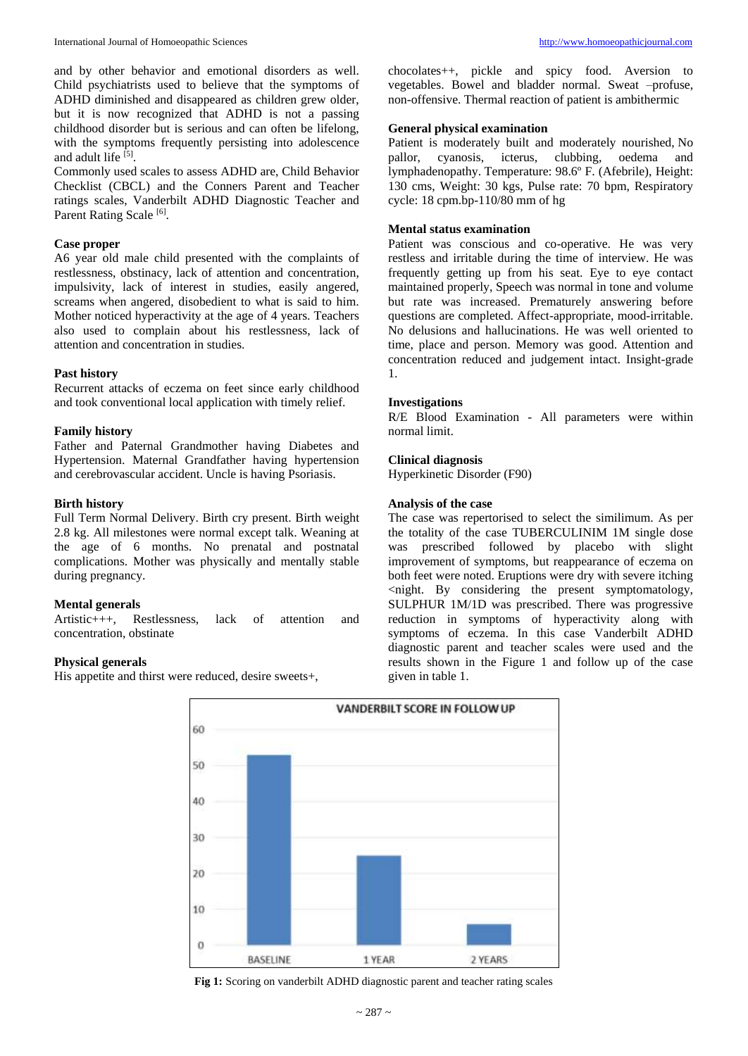and by other behavior and emotional disorders as well. Child psychiatrists used to believe that the symptoms of ADHD diminished and disappeared as children grew older, but it is now recognized that ADHD is not a passing childhood disorder but is serious and can often be lifelong, with the symptoms frequently persisting into adolescence and adult life [5].

Commonly used scales to assess ADHD are, Child Behavior Checklist (CBCL) and the Conners Parent and Teacher ratings scales, Vanderbilt ADHD Diagnostic Teacher and Parent Rating Scale<sup>[6]</sup>.

# **Case proper**

A6 year old male child presented with the complaints of restlessness, obstinacy, lack of attention and concentration, impulsivity, lack of interest in studies, easily angered, screams when angered, disobedient to what is said to him. Mother noticed hyperactivity at the age of 4 years. Teachers also used to complain about his restlessness, lack of attention and concentration in studies.

#### **Past history**

Recurrent attacks of eczema on feet since early childhood and took conventional local application with timely relief.

#### **Family history**

Father and Paternal Grandmother having Diabetes and Hypertension. Maternal Grandfather having hypertension and cerebrovascular accident. Uncle is having Psoriasis.

#### **Birth history**

Full Term Normal Delivery. Birth cry present. Birth weight 2.8 kg. All milestones were normal except talk. Weaning at the age of 6 months. No prenatal and postnatal complications. Mother was physically and mentally stable during pregnancy.

#### **Mental generals**

Artistic+++, Restlessness, lack of attention and concentration, obstinate

#### **Physical generals**

His appetite and thirst were reduced, desire sweets+,

chocolates++, pickle and spicy food. Aversion to vegetables. Bowel and bladder normal. Sweat –profuse, non-offensive. Thermal reaction of patient is ambithermic

#### **General physical examination**

Patient is moderately built and moderately nourished, No pallor, cyanosis, icterus, clubbing, oedema and pallor, cyanosis, icterus, clubbing, oedema and lymphadenopathy. Temperature: 98.6º F. (Afebrile), Height: 130 cms, Weight: 30 kgs, Pulse rate: 70 bpm, Respiratory cycle: 18 cpm.bp-110/80 mm of hg

# **Mental status examination**

Patient was conscious and co-operative. He was very restless and irritable during the time of interview. He was frequently getting up from his seat. Eye to eye contact maintained properly, Speech was normal in tone and volume but rate was increased. Prematurely answering before questions are completed. Affect-appropriate, mood-irritable. No delusions and hallucinations. He was well oriented to time, place and person. Memory was good. Attention and concentration reduced and judgement intact. Insight-grade 1.

#### **Investigations**

R/E Blood Examination - All parameters were within normal limit.

#### **Clinical diagnosis**

Hyperkinetic Disorder (F90)

#### **Analysis of the case**

The case was repertorised to select the similimum. As per the totality of the case TUBERCULINIM 1M single dose was prescribed followed by placebo with slight improvement of symptoms, but reappearance of eczema on both feet were noted. Eruptions were dry with severe itching <night. By considering the present symptomatology, SULPHUR 1M/1D was prescribed. There was progressive reduction in symptoms of hyperactivity along with symptoms of eczema. In this case Vanderbilt ADHD diagnostic parent and teacher scales were used and the results shown in the Figure 1 and follow up of the case given in table 1.



**Fig 1:** Scoring on vanderbilt ADHD diagnostic parent and teacher rating scales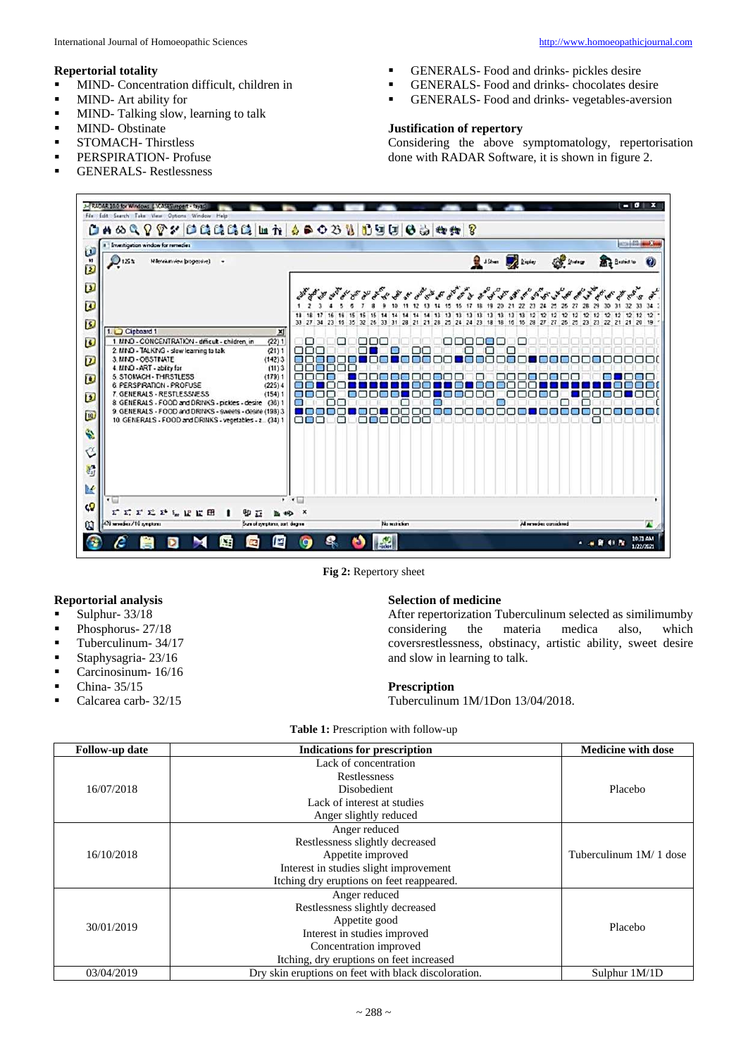#### **Repertorial totality**

- **MIND-** Concentration difficult, children in
- **MIND-** Art ability for
- **MIND-Talking slow, learning to talk**
- **MIND-Obstinate**
- **STOMACH- Thirstless**
- **PERSPIRATION-Profuse**
- **GENERALS-Restlessness**
- GENERALS- Food and drinks- pickles desire
- GENERALS- Food and drinks- chocolates desire
- GENERALS- Food and drinks- vegetables-aversion

## **Justification of repertory**

Considering the above symptomatology, repertorisation done with RADAR Software, it is shown in figure 2.



**Fig 2:** Repertory sheet

#### **Reportorial analysis**

- $\blacksquare$  Sulphur- 33/18
- Phosphorus- 27/18
- **Tuberculinum- 34/17**
- Staphysagria- 23/16
- Carcinosinum- 16/16
- China- 35/15
- Calcarea carb- 32/15

#### **Selection of medicine**

After repertorization Tuberculinum selected as similimumby considering the materia medica also, which coversrestlessness, obstinacy, artistic ability, sweet desire and slow in learning to talk.

#### **Prescription**

Tuberculinum 1M/1Don 13/04/2018.

**Table 1:** Prescription with follow-up

| Follow-up date | <b>Indications for prescription</b>                  | <b>Medicine with dose</b> |
|----------------|------------------------------------------------------|---------------------------|
| 16/07/2018     | Lack of concentration                                | Placebo                   |
|                | Restlessness                                         |                           |
|                | Disobedient                                          |                           |
|                | Lack of interest at studies                          |                           |
|                | Anger slightly reduced                               |                           |
| 16/10/2018     | Anger reduced                                        | Tuberculinum 1M/1 dose    |
|                | Restlessness slightly decreased                      |                           |
|                | Appetite improved                                    |                           |
|                | Interest in studies slight improvement               |                           |
|                | Itching dry eruptions on feet reappeared.            |                           |
| 30/01/2019     | Anger reduced                                        | Placebo                   |
|                | Restlessness slightly decreased                      |                           |
|                | Appetite good                                        |                           |
|                | Interest in studies improved                         |                           |
|                | Concentration improved                               |                           |
|                | Itching, dry eruptions on feet increased             |                           |
| 03/04/2019     | Dry skin eruptions on feet with black discoloration. | Sulphur 1M/1D             |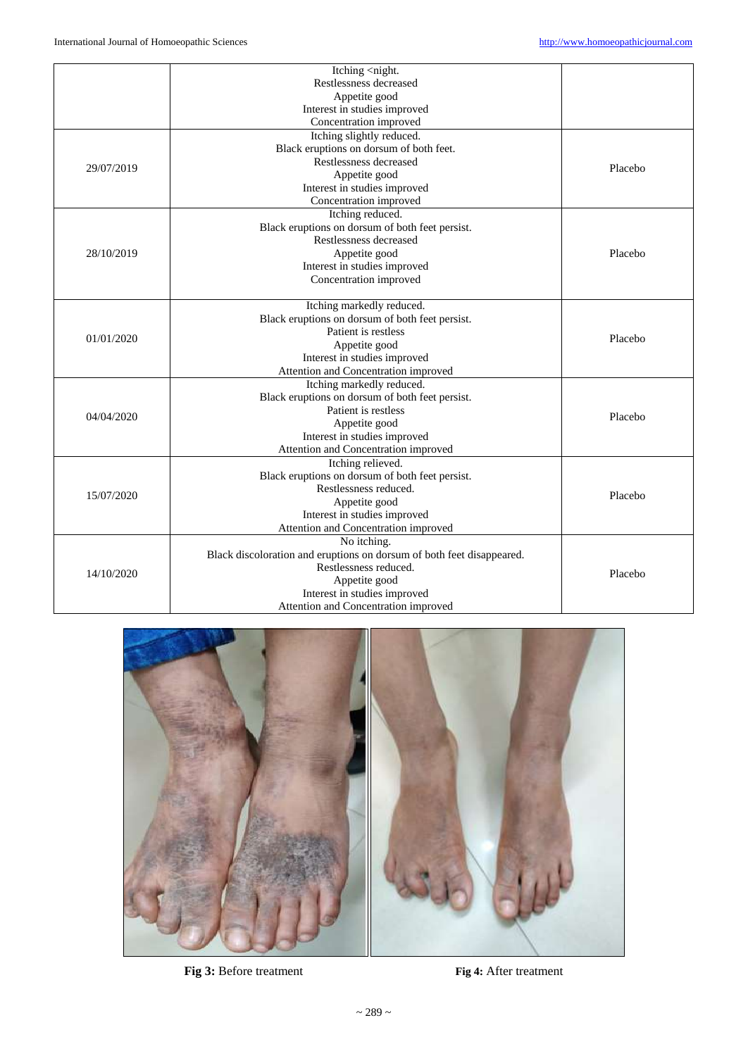|            | Itching <night.< th=""><th></th></night.<>                            |         |
|------------|-----------------------------------------------------------------------|---------|
|            | Restlessness decreased                                                |         |
|            | Appetite good                                                         |         |
|            | Interest in studies improved                                          |         |
|            |                                                                       |         |
|            | Concentration improved                                                |         |
| 29/07/2019 | Itching slightly reduced.                                             | Placebo |
|            | Black eruptions on dorsum of both feet.                               |         |
|            | Restlessness decreased                                                |         |
|            | Appetite good                                                         |         |
|            | Interest in studies improved                                          |         |
|            | Concentration improved                                                |         |
|            | Itching reduced.                                                      |         |
|            | Black eruptions on dorsum of both feet persist.                       |         |
|            | Restlessness decreased                                                |         |
| 28/10/2019 | Appetite good                                                         | Placebo |
|            | Interest in studies improved                                          |         |
|            | Concentration improved                                                |         |
|            |                                                                       |         |
|            | Itching markedly reduced.                                             |         |
|            | Black eruptions on dorsum of both feet persist.                       | Placebo |
| 01/01/2020 | Patient is restless                                                   |         |
|            | Appetite good                                                         |         |
|            | Interest in studies improved                                          |         |
|            | Attention and Concentration improved                                  |         |
|            | Itching markedly reduced.                                             |         |
|            | Black eruptions on dorsum of both feet persist.                       |         |
| 04/04/2020 | Patient is restless                                                   | Placebo |
|            | Appetite good                                                         |         |
|            | Interest in studies improved                                          |         |
|            | Attention and Concentration improved                                  |         |
| 15/07/2020 | Itching relieved.                                                     |         |
|            | Black eruptions on dorsum of both feet persist.                       | Placebo |
|            | Restlessness reduced.                                                 |         |
|            | Appetite good                                                         |         |
|            | Interest in studies improved                                          |         |
|            | Attention and Concentration improved                                  |         |
|            |                                                                       |         |
| 14/10/2020 | No itching.                                                           |         |
|            | Black discoloration and eruptions on dorsum of both feet disappeared. | Placebo |
|            | Restlessness reduced.                                                 |         |
|            | Appetite good                                                         |         |
|            | Interest in studies improved                                          |         |
|            | Attention and Concentration improved                                  |         |



**Fig 3:** Before treatment **Fig 4:** After treatment